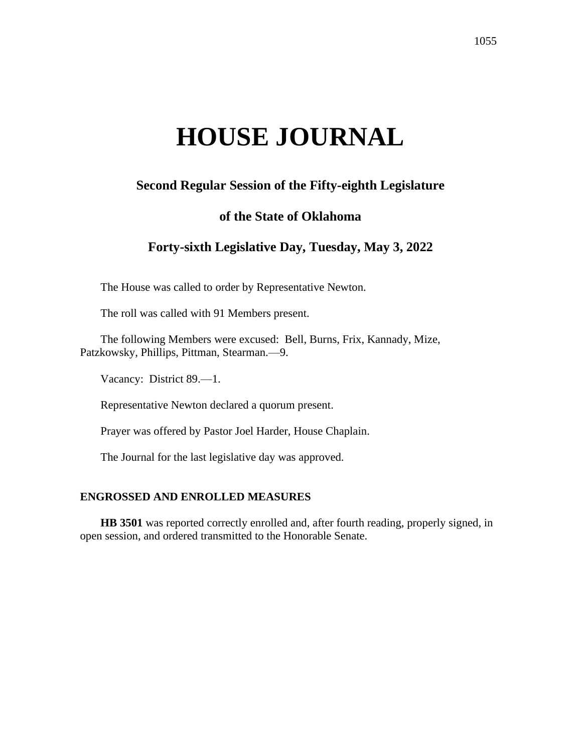# **HOUSE JOURNAL**

# **Second Regular Session of the Fifty-eighth Legislature**

# **of the State of Oklahoma**

# **Forty-sixth Legislative Day, Tuesday, May 3, 2022**

The House was called to order by Representative Newton.

The roll was called with 91 Members present.

The following Members were excused: Bell, Burns, Frix, Kannady, Mize, Patzkowsky, Phillips, Pittman, Stearman.—9.

Vacancy: District 89.—1.

Representative Newton declared a quorum present.

Prayer was offered by Pastor Joel Harder, House Chaplain.

The Journal for the last legislative day was approved.

#### **ENGROSSED AND ENROLLED MEASURES**

**HB 3501** was reported correctly enrolled and, after fourth reading, properly signed, in open session, and ordered transmitted to the Honorable Senate.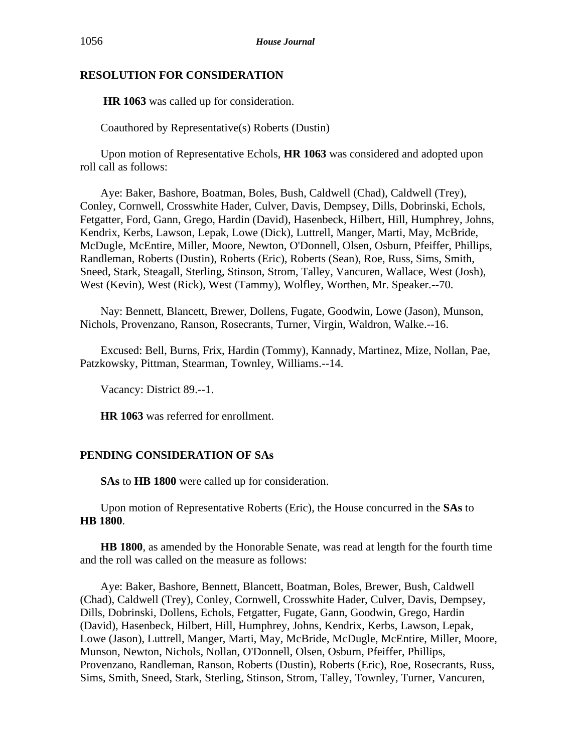# **RESOLUTION FOR CONSIDERATION**

**HR 1063** was called up for consideration.

Coauthored by Representative(s) Roberts (Dustin)

Upon motion of Representative Echols, **HR 1063** was considered and adopted upon roll call as follows:

Aye: Baker, Bashore, Boatman, Boles, Bush, Caldwell (Chad), Caldwell (Trey), Conley, Cornwell, Crosswhite Hader, Culver, Davis, Dempsey, Dills, Dobrinski, Echols, Fetgatter, Ford, Gann, Grego, Hardin (David), Hasenbeck, Hilbert, Hill, Humphrey, Johns, Kendrix, Kerbs, Lawson, Lepak, Lowe (Dick), Luttrell, Manger, Marti, May, McBride, McDugle, McEntire, Miller, Moore, Newton, O'Donnell, Olsen, Osburn, Pfeiffer, Phillips, Randleman, Roberts (Dustin), Roberts (Eric), Roberts (Sean), Roe, Russ, Sims, Smith, Sneed, Stark, Steagall, Sterling, Stinson, Strom, Talley, Vancuren, Wallace, West (Josh), West (Kevin), West (Rick), West (Tammy), Wolfley, Worthen, Mr. Speaker.--70.

Nay: Bennett, Blancett, Brewer, Dollens, Fugate, Goodwin, Lowe (Jason), Munson, Nichols, Provenzano, Ranson, Rosecrants, Turner, Virgin, Waldron, Walke.--16.

Excused: Bell, Burns, Frix, Hardin (Tommy), Kannady, Martinez, Mize, Nollan, Pae, Patzkowsky, Pittman, Stearman, Townley, Williams.--14.

Vacancy: District 89.--1.

**HR 1063** was referred for enrollment.

# **PENDING CONSIDERATION OF SAs**

**SAs** to **HB 1800** were called up for consideration.

Upon motion of Representative Roberts (Eric), the House concurred in the **SAs** to **HB 1800**.

**HB 1800**, as amended by the Honorable Senate, was read at length for the fourth time and the roll was called on the measure as follows:

Aye: Baker, Bashore, Bennett, Blancett, Boatman, Boles, Brewer, Bush, Caldwell (Chad), Caldwell (Trey), Conley, Cornwell, Crosswhite Hader, Culver, Davis, Dempsey, Dills, Dobrinski, Dollens, Echols, Fetgatter, Fugate, Gann, Goodwin, Grego, Hardin (David), Hasenbeck, Hilbert, Hill, Humphrey, Johns, Kendrix, Kerbs, Lawson, Lepak, Lowe (Jason), Luttrell, Manger, Marti, May, McBride, McDugle, McEntire, Miller, Moore, Munson, Newton, Nichols, Nollan, O'Donnell, Olsen, Osburn, Pfeiffer, Phillips, Provenzano, Randleman, Ranson, Roberts (Dustin), Roberts (Eric), Roe, Rosecrants, Russ, Sims, Smith, Sneed, Stark, Sterling, Stinson, Strom, Talley, Townley, Turner, Vancuren,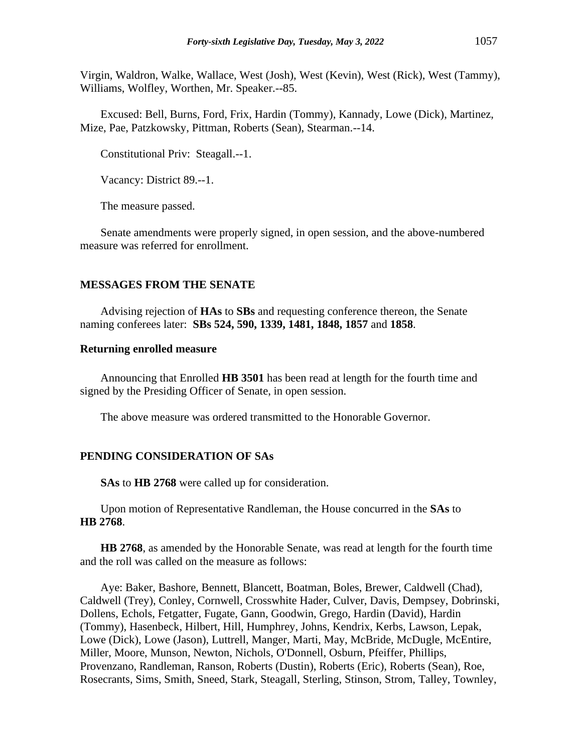Virgin, Waldron, Walke, Wallace, West (Josh), West (Kevin), West (Rick), West (Tammy), Williams, Wolfley, Worthen, Mr. Speaker.--85.

Excused: Bell, Burns, Ford, Frix, Hardin (Tommy), Kannady, Lowe (Dick), Martinez, Mize, Pae, Patzkowsky, Pittman, Roberts (Sean), Stearman.--14.

Constitutional Priv: Steagall.--1.

Vacancy: District 89.--1.

The measure passed.

Senate amendments were properly signed, in open session, and the above-numbered measure was referred for enrollment.

#### **MESSAGES FROM THE SENATE**

Advising rejection of **HAs** to **SBs** and requesting conference thereon, the Senate naming conferees later: **SBs 524, 590, 1339, 1481, 1848, 1857** and **1858**.

#### **Returning enrolled measure**

Announcing that Enrolled **HB 3501** has been read at length for the fourth time and signed by the Presiding Officer of Senate, in open session.

The above measure was ordered transmitted to the Honorable Governor.

#### **PENDING CONSIDERATION OF SAs**

**SAs** to **HB 2768** were called up for consideration.

Upon motion of Representative Randleman, the House concurred in the **SAs** to **HB 2768**.

**HB 2768**, as amended by the Honorable Senate, was read at length for the fourth time and the roll was called on the measure as follows:

Aye: Baker, Bashore, Bennett, Blancett, Boatman, Boles, Brewer, Caldwell (Chad), Caldwell (Trey), Conley, Cornwell, Crosswhite Hader, Culver, Davis, Dempsey, Dobrinski, Dollens, Echols, Fetgatter, Fugate, Gann, Goodwin, Grego, Hardin (David), Hardin (Tommy), Hasenbeck, Hilbert, Hill, Humphrey, Johns, Kendrix, Kerbs, Lawson, Lepak, Lowe (Dick), Lowe (Jason), Luttrell, Manger, Marti, May, McBride, McDugle, McEntire, Miller, Moore, Munson, Newton, Nichols, O'Donnell, Osburn, Pfeiffer, Phillips, Provenzano, Randleman, Ranson, Roberts (Dustin), Roberts (Eric), Roberts (Sean), Roe, Rosecrants, Sims, Smith, Sneed, Stark, Steagall, Sterling, Stinson, Strom, Talley, Townley,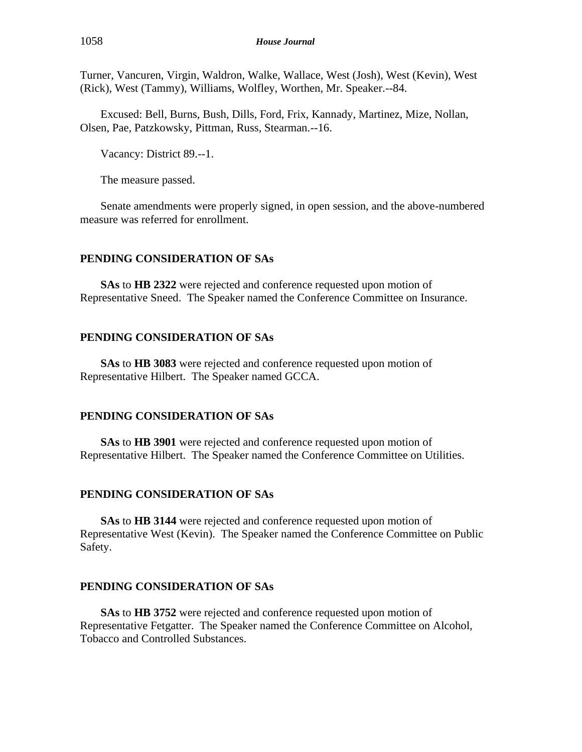Turner, Vancuren, Virgin, Waldron, Walke, Wallace, West (Josh), West (Kevin), West (Rick), West (Tammy), Williams, Wolfley, Worthen, Mr. Speaker.--84.

Excused: Bell, Burns, Bush, Dills, Ford, Frix, Kannady, Martinez, Mize, Nollan, Olsen, Pae, Patzkowsky, Pittman, Russ, Stearman.--16.

Vacancy: District 89.--1.

The measure passed.

Senate amendments were properly signed, in open session, and the above-numbered measure was referred for enrollment.

#### **PENDING CONSIDERATION OF SAs**

**SAs** to **HB 2322** were rejected and conference requested upon motion of Representative Sneed. The Speaker named the Conference Committee on Insurance.

#### **PENDING CONSIDERATION OF SAs**

**SAs** to **HB 3083** were rejected and conference requested upon motion of Representative Hilbert. The Speaker named GCCA.

#### **PENDING CONSIDERATION OF SAs**

**SAs** to **HB 3901** were rejected and conference requested upon motion of Representative Hilbert. The Speaker named the Conference Committee on Utilities.

# **PENDING CONSIDERATION OF SAs**

**SAs** to **HB 3144** were rejected and conference requested upon motion of Representative West (Kevin). The Speaker named the Conference Committee on Public Safety.

#### **PENDING CONSIDERATION OF SAs**

**SAs** to **HB 3752** were rejected and conference requested upon motion of Representative Fetgatter. The Speaker named the Conference Committee on Alcohol, Tobacco and Controlled Substances.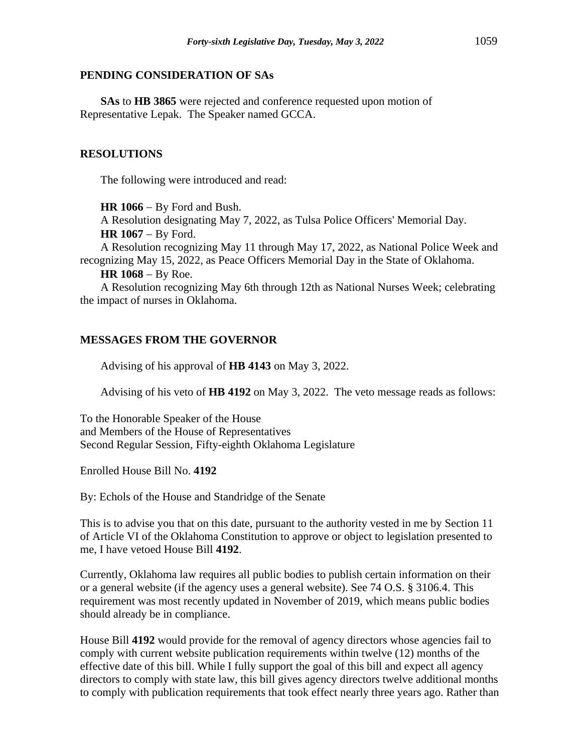# **PENDING CONSIDERATION OF SAs**

**SAs** to **HB 3865** were rejected and conference requested upon motion of Representative Lepak. The Speaker named GCCA.

# **RESOLUTIONS**

The following were introduced and read:

**HR 1066** − By Ford and Bush.

A Resolution designating May 7, 2022, as Tulsa Police Officers' Memorial Day. **HR 1067** − By Ford.

A Resolution recognizing May 11 through May 17, 2022, as National Police Week and recognizing May 15, 2022, as Peace Officers Memorial Day in the State of Oklahoma.

**HR 1068** − By Roe.

A Resolution recognizing May 6th through 12th as National Nurses Week; celebrating the impact of nurses in Oklahoma.

# **MESSAGES FROM THE GOVERNOR**

Advising of his approval of **HB 4143** on May 3, 2022.

Advising of his veto of **HB 4192** on May 3, 2022. The veto message reads as follows:

To the Honorable Speaker of the House and Members of the House of Representatives Second Regular Session, Fifty-eighth Oklahoma Legislature

Enrolled House Bill No. **4192**

By: Echols of the House and Standridge of the Senate

This is to advise you that on this date, pursuant to the authority vested in me by Section 11 of Article VI of the Oklahoma Constitution to approve or object to legislation presented to me, I have vetoed House Bill **4192**.

Currently, Oklahoma law requires all public bodies to publish certain information on their or a general website (if the agency uses a general website). See 74 O.S. § 3106.4. This requirement was most recently updated in November of 2019, which means public bodies should already be in compliance.

House Bill **4192** would provide for the removal of agency directors whose agencies fail to comply with current website publication requirements within twelve (12) months of the effective date of this bill. While I fully support the goal of this bill and expect all agency directors to comply with state law, this bill gives agency directors twelve additional months to comply with publication requirements that took effect nearly three years ago. Rather than